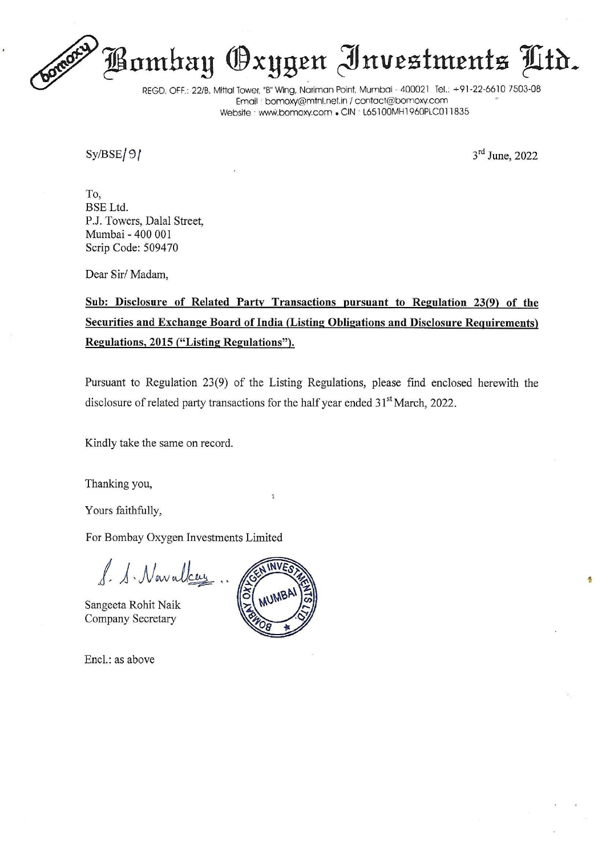REGD. OFF; 22/B, Mittal Tower, "B" Wing, Nariman Point, Mumbai - 400021. Tel.: +91-22- 6610 7503-08 Email : bomoxy@mini.net.in / contact@bomoxy.com Website : www.bomoxy.com . CIN : L65100MH1960PLC011835

Bombay Oxygen Investments Ltd.

 $Sy/BSE/9$ 

To, BSE Ltd. P.J. Towers, Dalal Street, Mumbai - 400 001 Scrip Code: 509470

Dear Sir/ Madam,

Sub: Disclosure of Related Party Transactions pursuant to Regulation 23(9) of the Securities and Exchange Board of India (Listing Obligations and Disclosure Requirements) Regulations, 2015 ("Listing Regulations").

Pursuant to Regulation 23(9) of the Listing Regulations, please find enclosed herewith the disclosure of related party transactions for the half year ended  $31<sup>st</sup>$  March, 2022.

Kindly take the same on record.

Thanking you,

Yours faithfully,

For Bombay Oxygen Investments Limited

L A Nanebbes

Sangeeta Rohit Naik Company Secretary

Encl.: as above

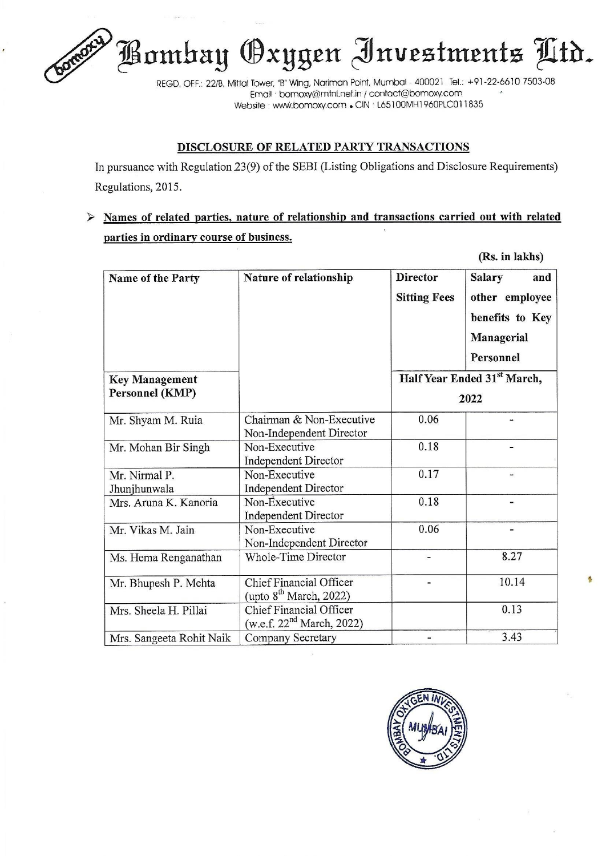

## DISCLOSURE OF RELATED PARTY TRANSACTIONS

## $\triangleright$  Names of related parties, nature of relationship and transactions carried out with related **PEGD. OFF**<br>REGD. OFF<br>
REGD. OFF<br>
upursuance with Regenlations, 2015.<br>
Names of related parties in ordinary **Example 22/8.** Mittel Tower. "B" Wing, North ReGD. OFF.: 22/B. Mittel Tower. "B" Wing, North Website<br>
Final Lower. "B" Wing, North Website<br>
Website : www.bomoxy.org<br>
DISCLOSURE OF RELATED<br>
pursuance with Regulation 23(9) parties in ordinary course of business.

|                                         | Bombay (Oxygen Investments L                                                                                                                                                                                   |                     |                                         |  |  |
|-----------------------------------------|----------------------------------------------------------------------------------------------------------------------------------------------------------------------------------------------------------------|---------------------|-----------------------------------------|--|--|
|                                         | REGD, OFF.: 22/B, Mittal Tower, "B" Wing, Nariman Point, Mumbai - 400021 Tel.: +91-22-6610 7503-08<br>Email · bomoxy@mtnl.net.in / contact@bomoxy.com<br>Website: www.bomoxy.com . CIN : L65100MH1960PLC011835 |                     |                                         |  |  |
|                                         | <b>DISCLOSURE OF RELATED PARTY TRANSACTIONS</b>                                                                                                                                                                |                     |                                         |  |  |
|                                         | pursuance with Regulation 23(9) of the SEBI (Listing Obligations and Disclosure Requirements)                                                                                                                  |                     |                                         |  |  |
| egulations, 2015.                       |                                                                                                                                                                                                                |                     |                                         |  |  |
|                                         |                                                                                                                                                                                                                |                     |                                         |  |  |
|                                         | Names of related parties, nature of relationship and transactions carried out with related                                                                                                                     |                     |                                         |  |  |
| parties in ordinary course of business. |                                                                                                                                                                                                                |                     |                                         |  |  |
|                                         |                                                                                                                                                                                                                |                     | (Rs. in lakhs)                          |  |  |
| Name of the Party                       | Nature of relationship                                                                                                                                                                                         | <b>Director</b>     | Salary<br>and                           |  |  |
|                                         |                                                                                                                                                                                                                | <b>Sitting Fees</b> | other employee                          |  |  |
|                                         |                                                                                                                                                                                                                |                     |                                         |  |  |
|                                         |                                                                                                                                                                                                                |                     | benefits to Key                         |  |  |
|                                         |                                                                                                                                                                                                                |                     | Managerial                              |  |  |
|                                         |                                                                                                                                                                                                                |                     | Personnel                               |  |  |
| <b>Key Management</b>                   |                                                                                                                                                                                                                |                     | Half Year Ended 31 <sup>st</sup> March, |  |  |
| Personnel (KMP)                         |                                                                                                                                                                                                                | 2022                |                                         |  |  |
| Mr. Shyam M. Ruia                       | Chairman & Non-Executive                                                                                                                                                                                       | 0.06                |                                         |  |  |
|                                         | Non-Independent Director<br>Non-Executive                                                                                                                                                                      | 0.18                |                                         |  |  |
| Mr. Mohan Bir Singh                     |                                                                                                                                                                                                                |                     |                                         |  |  |
|                                         |                                                                                                                                                                                                                |                     |                                         |  |  |
|                                         | <b>Independent Director</b>                                                                                                                                                                                    |                     |                                         |  |  |
| Mr. Nirmal P.<br>Jhunjhunwala           | Non-Executive<br><b>Independent Director</b>                                                                                                                                                                   | 0.17                |                                         |  |  |
| Mrs. Aruna K. Kanoria                   | Non-Executive                                                                                                                                                                                                  | 0.18                |                                         |  |  |
|                                         | <b>Independent Director</b>                                                                                                                                                                                    |                     |                                         |  |  |
| Mr. Vikas M. Jain                       | Non-Executive                                                                                                                                                                                                  | 0.06                |                                         |  |  |
| Ms. Hema Renganathan                    | Non-Independent Director<br>Whole-Time Director                                                                                                                                                                |                     | 8.27                                    |  |  |
|                                         |                                                                                                                                                                                                                |                     |                                         |  |  |
| Mr. Bhupesh P. Mehta                    | Chief Financial Officer                                                                                                                                                                                        |                     | 10.14                                   |  |  |
| Mrs. Sheela H. Pillai                   | (upto $8^{th}$ March, 2022)<br><b>Chief Financial Officer</b>                                                                                                                                                  |                     | 0.13                                    |  |  |
| Mrs. Sangeeta Rohit Naik                | (w.e.f. $22^{nd}$ March, 2022)<br>Company Secretary                                                                                                                                                            |                     | 3.43                                    |  |  |

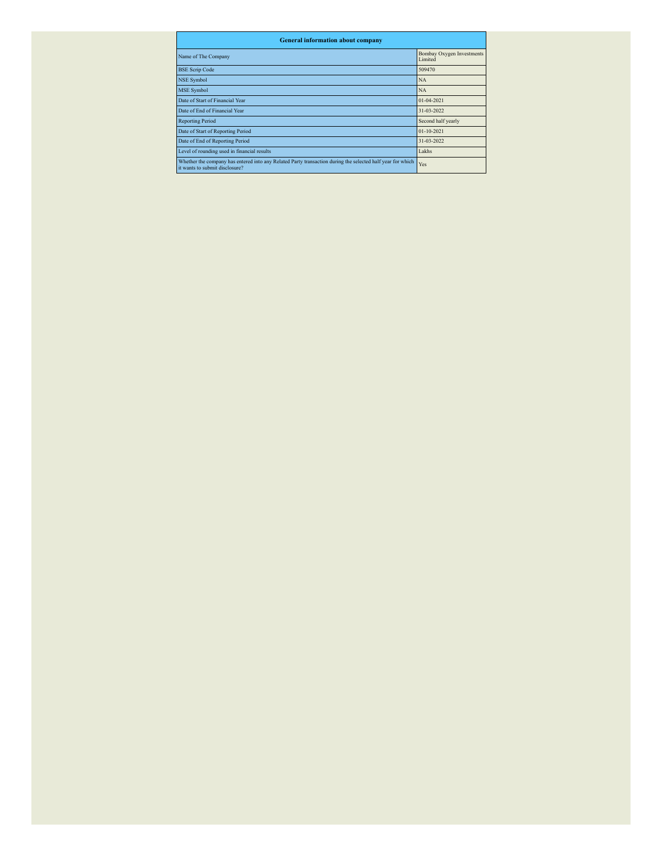| <b>General information about company</b>                                                                                                     |                                      |  |  |  |  |  |  |  |
|----------------------------------------------------------------------------------------------------------------------------------------------|--------------------------------------|--|--|--|--|--|--|--|
| Name of The Company                                                                                                                          | Bombay Oxygen Investments<br>Limited |  |  |  |  |  |  |  |
| <b>BSE Scrip Code</b>                                                                                                                        | 509470                               |  |  |  |  |  |  |  |
| NSE Symbol                                                                                                                                   | <b>NA</b>                            |  |  |  |  |  |  |  |
| <b>MSE</b> Symbol                                                                                                                            | <b>NA</b>                            |  |  |  |  |  |  |  |
| Date of Start of Financial Year                                                                                                              | $01 - 04 - 2021$                     |  |  |  |  |  |  |  |
| Date of End of Financial Year                                                                                                                | 31-03-2022                           |  |  |  |  |  |  |  |
| <b>Reporting Period</b>                                                                                                                      | Second half yearly                   |  |  |  |  |  |  |  |
| Date of Start of Reporting Period                                                                                                            | $01 - 10 - 2021$                     |  |  |  |  |  |  |  |
| Date of End of Reporting Period                                                                                                              | 31-03-2022                           |  |  |  |  |  |  |  |
| Level of rounding used in financial results                                                                                                  | Lakhs                                |  |  |  |  |  |  |  |
| Whether the company has entered into any Related Party transaction during the selected half year for which<br>it wants to submit disclosure? | Yes                                  |  |  |  |  |  |  |  |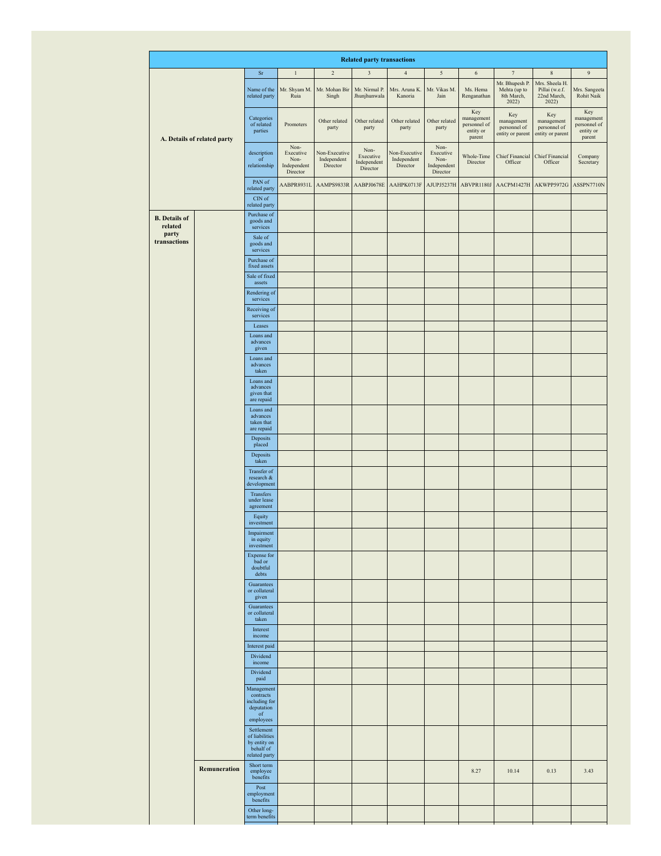| <b>Related party transactions</b>                        |                              |                                                                                              |                                                      |                                          |                                              |                                          |                                                      |                                                          |                                                          |                                                          |                                                          |
|----------------------------------------------------------|------------------------------|----------------------------------------------------------------------------------------------|------------------------------------------------------|------------------------------------------|----------------------------------------------|------------------------------------------|------------------------------------------------------|----------------------------------------------------------|----------------------------------------------------------|----------------------------------------------------------|----------------------------------------------------------|
|                                                          |                              | $\rm Sr$                                                                                     | $\,1$                                                | $\sqrt{2}$                               | $\sqrt{3}$                                   | $\overline{4}$                           | $\sqrt{5}$                                           | 6                                                        | $7\phantom{.0}$                                          | $\,$ 8 $\,$                                              | $\boldsymbol{9}$                                         |
|                                                          | Name of the<br>related party | Mr. Shyam M.<br>Ruia                                                                         | Mr. Mohan Bir<br>Singh                               | Mr. Nirmal P.<br>Jhunjhunwala            | Mrs. Aruna K.<br>Kanoria                     | Mr. Vikas M.<br>Jain                     | Ms. Hema<br>Renganathan                              | Mr. Bhupesh P.<br>Mehta (up to<br>8th March,<br>2022)    | Mrs. Sheela H.<br>Pillai (w.e.f.<br>22nd March,<br>2022) | Mrs. Sangeeta<br>Rohit Naik                              |                                                          |
| A. Details of related party                              |                              | Categories<br>of related<br>parties                                                          | Promoters                                            | Other related<br>party                   | Other related<br>party                       | Other related<br>party                   | Other related<br>party                               | Key<br>management<br>personnel of<br>entity or<br>parent | Key<br>management<br>personnel of<br>entity or parent    | Key<br>$m$ anagement<br>personnel of<br>entity or parent | Key<br>management<br>personnel of<br>entity or<br>parent |
|                                                          |                              | description<br>of<br>relationship                                                            | Non-<br>Executive<br>Non-<br>Independent<br>Director | Non-Executive<br>Independent<br>Director | Non-<br>Executive<br>Independent<br>Director | Non-Executive<br>Independent<br>Director | Non-<br>Executive<br>Non-<br>Independent<br>Director | Whole-Time<br>Director                                   | Chief Financial<br>Officer                               | <b>Chief Financial</b><br>Officer                        | Company<br>Secretary                                     |
|                                                          |                              | PAN of<br>related party<br>$\ensuremath{\mathrm{CIN}}$ of                                    | AABPR8931L                                           | AAMPS9833R                               | AABPJ0678E                                   | AAHPK0713F                               | AJUPJ5237H                                           | ABVPR1180J                                               | AACPM1427H                                               | AKWPP5972G                                               | ASSPN7710N                                               |
|                                                          |                              | related party                                                                                |                                                      |                                          |                                              |                                          |                                                      |                                                          |                                                          |                                                          |                                                          |
| <b>B.</b> Details of<br>related<br>party<br>transactions |                              | Purchase of<br>goods and<br>services<br>Sale of                                              |                                                      |                                          |                                              |                                          |                                                      |                                                          |                                                          |                                                          |                                                          |
|                                                          |                              | goods and<br>services<br>Purchase of                                                         |                                                      |                                          |                                              |                                          |                                                      |                                                          |                                                          |                                                          |                                                          |
|                                                          |                              | fixed assets<br>Sale of fixed                                                                |                                                      |                                          |                                              |                                          |                                                      |                                                          |                                                          |                                                          |                                                          |
|                                                          |                              | assets                                                                                       |                                                      |                                          |                                              |                                          |                                                      |                                                          |                                                          |                                                          |                                                          |
|                                                          |                              | Rendering of<br>services                                                                     |                                                      |                                          |                                              |                                          |                                                      |                                                          |                                                          |                                                          |                                                          |
|                                                          |                              | Receiving of<br>services                                                                     |                                                      |                                          |                                              |                                          |                                                      |                                                          |                                                          |                                                          |                                                          |
|                                                          |                              | Leases                                                                                       |                                                      |                                          |                                              |                                          |                                                      |                                                          |                                                          |                                                          |                                                          |
|                                                          |                              | Loans and<br>advances<br>given                                                               |                                                      |                                          |                                              |                                          |                                                      |                                                          |                                                          |                                                          |                                                          |
|                                                          |                              | Loans and<br>advances<br>taken                                                               |                                                      |                                          |                                              |                                          |                                                      |                                                          |                                                          |                                                          |                                                          |
|                                                          |                              | Loans and<br>advances<br>given that<br>are repaid                                            |                                                      |                                          |                                              |                                          |                                                      |                                                          |                                                          |                                                          |                                                          |
|                                                          |                              | Loans and<br>advances<br>taken that<br>are repaid                                            |                                                      |                                          |                                              |                                          |                                                      |                                                          |                                                          |                                                          |                                                          |
|                                                          |                              | Deposits<br>placed                                                                           |                                                      |                                          |                                              |                                          |                                                      |                                                          |                                                          |                                                          |                                                          |
|                                                          |                              | Deposits<br>taken                                                                            |                                                      |                                          |                                              |                                          |                                                      |                                                          |                                                          |                                                          |                                                          |
|                                                          |                              | Transfer of<br>research $\&$<br>development                                                  |                                                      |                                          |                                              |                                          |                                                      |                                                          |                                                          |                                                          |                                                          |
|                                                          |                              | Transfers<br>under lease<br>agreement                                                        |                                                      |                                          |                                              |                                          |                                                      |                                                          |                                                          |                                                          |                                                          |
|                                                          |                              | Equity<br>investment                                                                         |                                                      |                                          |                                              |                                          |                                                      |                                                          |                                                          |                                                          |                                                          |
|                                                          |                              | ипранинент<br>in equity<br>investment                                                        |                                                      |                                          |                                              |                                          |                                                      |                                                          |                                                          |                                                          |                                                          |
|                                                          |                              | Expense for<br>bad or<br>doubtful<br>debts                                                   |                                                      |                                          |                                              |                                          |                                                      |                                                          |                                                          |                                                          |                                                          |
|                                                          |                              | Guarantees<br>or collateral<br>given                                                         |                                                      |                                          |                                              |                                          |                                                      |                                                          |                                                          |                                                          |                                                          |
|                                                          |                              | Guarantees<br>or collateral<br>taken                                                         |                                                      |                                          |                                              |                                          |                                                      |                                                          |                                                          |                                                          |                                                          |
|                                                          |                              | Interest<br>income                                                                           |                                                      |                                          |                                              |                                          |                                                      |                                                          |                                                          |                                                          |                                                          |
|                                                          |                              | Interest paid                                                                                |                                                      |                                          |                                              |                                          |                                                      |                                                          |                                                          |                                                          |                                                          |
|                                                          |                              | Dividend<br>income                                                                           |                                                      |                                          |                                              |                                          |                                                      |                                                          |                                                          |                                                          |                                                          |
|                                                          |                              | Dividend<br>paid                                                                             |                                                      |                                          |                                              |                                          |                                                      |                                                          |                                                          |                                                          |                                                          |
|                                                          |                              | Management<br>$\mathop{\textup{contrast}}$<br>including for<br>deputation<br>of<br>employees |                                                      |                                          |                                              |                                          |                                                      |                                                          |                                                          |                                                          |                                                          |
|                                                          |                              | Settlement<br>of liabilities<br>by entity on<br>behalf of<br>related party                   |                                                      |                                          |                                              |                                          |                                                      |                                                          |                                                          |                                                          |                                                          |
|                                                          | Remuneration                 | Short term<br>employee<br>benefits                                                           |                                                      |                                          |                                              |                                          |                                                      | 8.27                                                     | 10.14                                                    | 0.13                                                     | 3.43                                                     |
|                                                          |                              | Post<br>employment<br>benefits                                                               |                                                      |                                          |                                              |                                          |                                                      |                                                          |                                                          |                                                          |                                                          |
|                                                          |                              | Other long-<br>term benefits                                                                 |                                                      |                                          |                                              |                                          |                                                      |                                                          |                                                          |                                                          |                                                          |